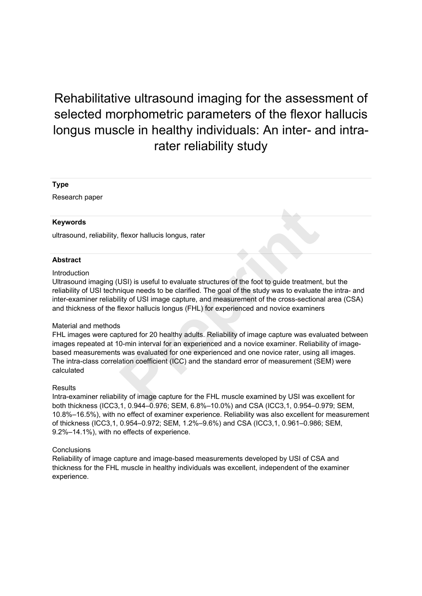# Rehabilitative ultrasound imaging for the assessment of selected morphometric parameters of the flexor hallucis longus muscle in healthy individuals: An inter- and intrarater reliability study

#### **Type**

Research paper

#### **Keywords**

ultrasound, reliability, flexor hallucis longus, rater

#### **Abstract**

#### Introduction

Ultrasound imaging (USI) is useful to evaluate structures of the foot to guide treatment, but the reliability of USI technique needs to be clarified. The goal of the study was to evaluate the intra- and inter-examiner reliability of USI image capture, and measurement of the cross-sectional area (CSA) and thickness of the flexor hallucis longus (FHL) for experienced and novice examiners

#### Material and methods

FHL images were captured for 20 healthy adults. Reliability of image capture was evaluated between images repeated at 10-min interval for an experienced and a novice examiner. Reliability of imagebased measurements was evaluated for one experienced and one novice rater, using all images. The intra-class correlation coefficient (ICC) and the standard error of measurement (SEM) were calculated flexor hallucis longus, rater<br>USI) is useful to evaluate structures of the foot to guide treatmen<br>hique needs to be clarified. The goal of the study was to evaluate<br>lity of USI image capture, and measurement of the cross-s

#### **Results**

Intra-examiner reliability of image capture for the FHL muscle examined by USI was excellent for both thickness (ICC3,1, 0.944–0.976; SEM, 6.8%–10.0%) and CSA (ICC3,1, 0.954–0.979; SEM, 10.8%–16.5%), with no effect of examiner experience. Reliability was also excellent for measurement of thickness (ICC3,1, 0.954–0.972; SEM, 1.2%–9.6%) and CSA (ICC3,1, 0.961–0.986; SEM, 9.2%–14.1%), with no effects of experience.

#### Conclusions

Reliability of image capture and image-based measurements developed by USI of CSA and thickness for the FHL muscle in healthy individuals was excellent, independent of the examiner experience.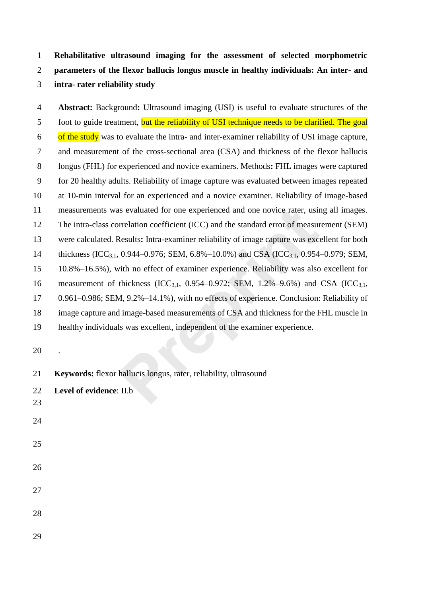**Rehabilitative ultrasound imaging for the assessment of selected morphometric parameters of the flexor hallucis longus muscle in healthy individuals: An inter- and intra- rater reliability study**

 **Abstract:** Background**:** Ultrasound imaging (USI) is useful to evaluate structures of the 5 foot to guide treatment, but the reliability of USI technique needs to be clarified. The goal  $\frac{6}{100}$  of the study was to evaluate the intra- and inter-examiner reliability of USI image capture, and measurement of the cross-sectional area (CSA) and thickness of the flexor hallucis longus (FHL) for experienced and novice examiners. Methods**:** FHL images were captured for 20 healthy adults. Reliability of image capture was evaluated between images repeated at 10-min interval for an experienced and a novice examiner. Reliability of image-based measurements was evaluated for one experienced and one novice rater, using all images. The intra-class correlation coefficient (ICC) and the standard error of measurement (SEM) were calculated. Results**:** Intra-examiner reliability of image capture was excellent for both 14 thickness (ICC<sub>3,1</sub>, 0.944–0.976; SEM, 6.8%–10.0%) and CSA (ICC<sub>3,1</sub>, 0.954–0.979; SEM, 10.8%–16.5%), with no effect of examiner experience. Reliability was also excellent for 16 measurement of thickness (ICC<sub>3,1</sub>, 0.954–0.972; SEM, 1.2%–9.6%) and CSA (ICC<sub>3,1</sub>, 0.961–0.986; SEM, 9.2%–14.1%), with no effects of experience. Conclusion: Reliability of image capture and image-based measurements of CSA and thickness for the FHL muscle in healthy individuals was excellent, independent of the examiner experience. is evaluated for one experienced and one novice rater, using<br>relation coefficient (ICC) and the standard error of measurely<br>Results: Intra-examiner reliability of image capture was excoted 0.944–0.976; SEM, 6.8%–10.0%) and

.

- **Keywords:** flexor hallucis longus, rater, reliability, ultrasound
- **Level of evidence**: II.b
- 
- 
- 
- 
- 

- 
-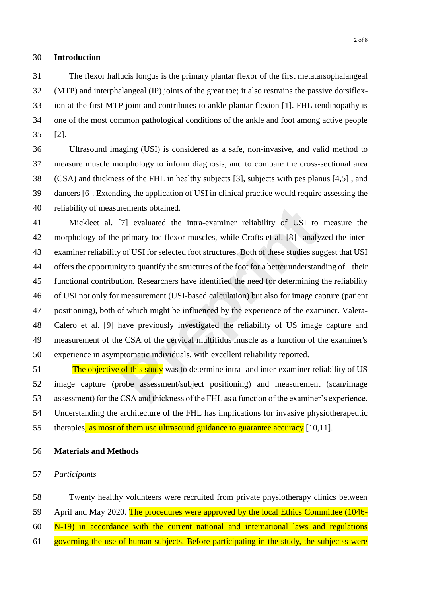## **Introduction**

 The flexor hallucis longus is the primary plantar flexor of the first metatarsophalangeal (MTP) and interphalangeal (IP) joints of the great toe; it also restrains the passive dorsiflex- ion at the first MTP joint and contributes to ankle plantar flexion [1]. FHL tendinopathy is one of the most common pathological conditions of the ankle and foot among active people [2].

 Ultrasound imaging (USI) is considered as a safe, non-invasive, and valid method to measure muscle morphology to inform diagnosis, and to compare the cross-sectional area (CSA) and thickness of the FHL in healthy subjects [3], subjects with pes planus [4,5] , and dancers [6]. Extending the application of USI in clinical practice would require assessing the reliability of measurements obtained.

 Mickleet al. [7] evaluated the intra-examiner reliability of USI to measure the morphology of the primary toe flexor muscles, while Crofts et al. [8] analyzed the inter- examiner reliability of USI for selected foot structures. Both of these studies suggest that USI offers the opportunity to quantify the structures of the foot for a better understanding of their functional contribution. Researchers have identified the need for determining the reliability of USI not only for measurement (USI-based calculation) but also for image capture (patient positioning), both of which might be influenced by the experience of the examiner. Valera- Calero et al. [9] have previously investigated the reliability of US image capture and measurement of the CSA of the cervical multifidus muscle as a function of the examiner's experience in asymptomatic individuals, with excellent reliability reported. ITT evaluated the intra-examiner reliability of USI to<br>primary toe flexor muscles, while Crofts et al. [8] analy<br>y of USI for selected foot structures. Both of these studies su<sub>i</sub><br>ity to quantify the structures of the foot

51 The objective of this study was to determine intra- and inter-examiner reliability of US image capture (probe assessment/subject positioning) and measurement (scan/image assessment) for the CSA and thickness of the FHL as a function of the examiner's experience. Understanding the architecture of the FHL has implications for invasive physiotherapeutic 55 therapies, as most of them use ultrasound guidance to guarantee accuracy [10,11].

## **Materials and Methods**

## *Participants*

Twenty healthy volunteers were recruited from private physiotherapy clinics between

59 April and May 2020. The procedures were approved by the local Ethics Committee (1046-

N-19) in accordance with the current national and international laws and regulations

61 governing the use of human subjects. Before participating in the study, the subjectss were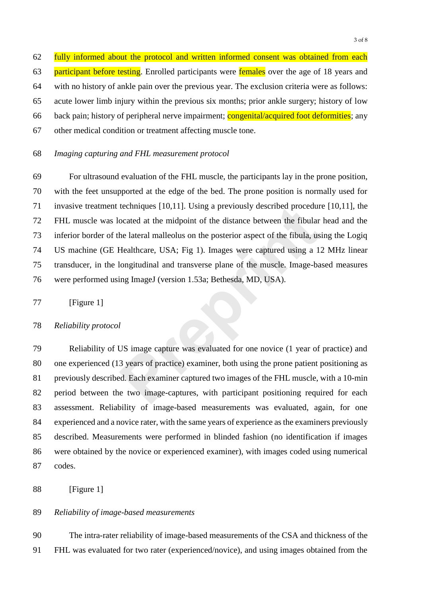62 fully informed about the protocol and written informed consent was obtained from each 63 participant before testing. Enrolled participants were females over the age of 18 years and with no history of ankle pain over the previous year. The exclusion criteria were as follows: acute lower limb injury within the previous six months; prior ankle surgery; history of low back pain; history of peripheral nerve impairment; congenital/acquired foot deformities; any other medical condition or treatment affecting muscle tone.

# *Imaging capturing and FHL measurement protocol*

 For ultrasound evaluation of the FHL muscle, the participants lay in the prone position, with the feet unsupported at the edge of the bed. The prone position is normally used for invasive treatment techniques [10,11]. Using a previously described procedure [10,11], the FHL muscle was located at the midpoint of the distance between the fibular head and the inferior border of the lateral malleolus on the posterior aspect of the fibula, using the Logiq US machine (GE Healthcare, USA; Fig 1). Images were captured using a 12 MHz linear transducer, in the longitudinal and transverse plane of the muscle. Image-based measures were performed using ImageJ (version 1.53a; Bethesda, MD, USA). techniques [10,11]. Using a previously described procedur<br>ocated at the midpoint of the distance between the fibular<br>he lateral malleolus on the posterior aspect of the fibula, us<br>Healthcare, USA; Fig 1). Images were captu

77 [Figure 1]

## *Reliability protocol*

 Reliability of US image capture was evaluated for one novice (1 year of practice) and one experienced (13 years of practice) examiner, both using the prone patient positioning as previously described. Each examiner captured two images of the FHL muscle, with a 10-min period between the two image-captures, with participant positioning required for each assessment. Reliability of image-based measurements was evaluated, again, for one experienced and a novice rater, with the same years of experience as the examiners previously described. Measurements were performed in blinded fashion (no identification if images were obtained by the novice or experienced examiner), with images coded using numerical codes.

[Figure 1]

## *Reliability of image-based measurements*

 The intra-rater reliability of image-based measurements of the CSA and thickness of the FHL was evaluated for two rater (experienced/novice), and using images obtained from the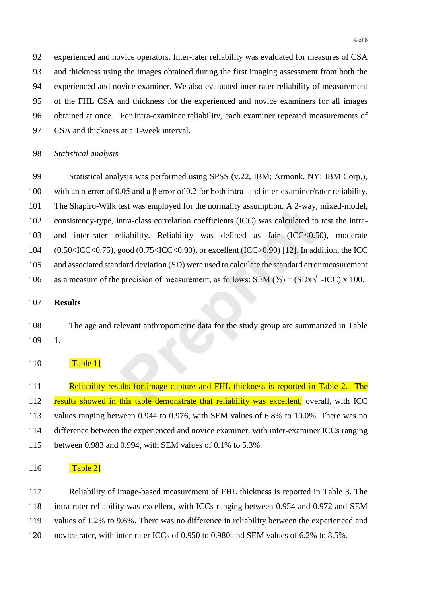experienced and novice operators. Inter-rater reliability was evaluated for measures of CSA and thickness using the images obtained during the first imaging assessment from both the experienced and novice examiner. We also evaluated inter-rater reliability of measurement of the FHL CSA and thickness for the experienced and novice examiners for all images obtained at once. For intra-examiner reliability, each examiner repeated measurements of CSA and thickness at a 1-week interval.

*Statistical analysis*

 Statistical analysis was performed using SPSS (v.22, IBM; Armonk, NY: IBM Corp.), with an α error of 0.05 and a β error of 0.2 for both intra- and inter-examiner/rater reliability. The Shapiro-Wilk test was employed for the normality assumption. A 2-way, mixed-model, consistency-type, intra-class correlation coefficients (ICC) was calculated to test the intra- and inter-rater reliability. Reliability was defined as fair (ICC<0.50), moderate (0.50<ICC<0.75), good (0.75<ICC<0.90), or excellent (ICC>0.90) [12]. In addition, the ICC and associated standard deviation (SD) were used to calculate the standard error measurement 106 as a measure of the precision of measurement, as follows: SEM  $(\%) = (SDx\sqrt{1-ICC}) x 100$ . test was employed for the normality assumption. A 2-way,<br>ntra-class correlation coefficients (ICC) was calculated to<br>eliability. Reliability was defined as fair (ICC<0.5<br>good (0.75<ICC<0.90), or excellent (ICC>0.90) [12].

# **Results**

 The age and relevant anthropometric data for the study group are summarized in Table 1.

# **[Table 1]**

111 Reliability results for image capture and FHL thickness is reported in Table 2. The 112 results showed in this table demonstrate that reliability was excellent, overall, with ICC values ranging between 0.944 to 0.976, with SEM values of 6.8% to 10.0%. There was no difference between the experienced and novice examiner, with inter-examiner ICCs ranging between 0.983 and 0.994, with SEM values of 0.1% to 5.3%.

# $\boxed{\text{Table 2}}$

 Reliability of image-based measurement of FHL thickness is reported in Table 3. The intra-rater reliability was excellent, with ICCs ranging between 0.954 and 0.972 and SEM values of 1.2% to 9.6%. There was no difference in reliability between the experienced and novice rater, with inter-rater ICCs of 0.950 to 0.980 and SEM values of 6.2% to 8.5%.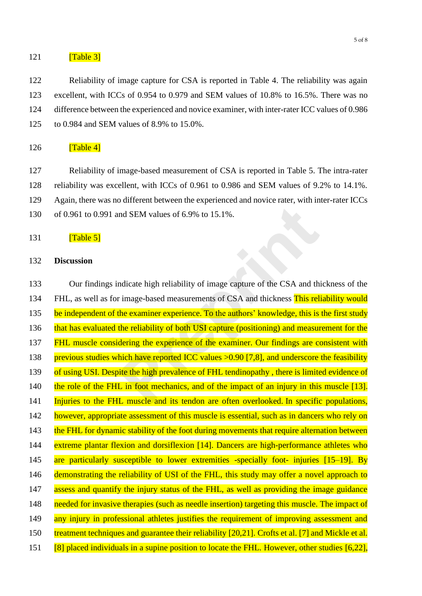## $121$  [Table 3]

122 Reliability of image capture for CSA is reported in Table 4. The reliability was again excellent, with ICCs of 0.954 to 0.979 and SEM values of 10.8% to 16.5%. There was no difference between the experienced and novice examiner, with inter-rater ICC values of 0.986 to 0.984 and SEM values of 8.9% to 15.0%.

## $126$   $\boxed{\text{Table 4}}$

127 Reliability of image-based measurement of CSA is reported in Table 5. The intra-rater

128 reliability was excellent, with ICCs of 0.961 to 0.986 and SEM values of 9.2% to 14.1%.

129 Again, there was no different between the experienced and novice rater, with inter-rater ICCs

- 130 of 0.961 to 0.991 and SEM values of 6.9% to 15.1%.
- $131$   $[Table 5]$

# 132 **Discussion**

133 Our findings indicate high reliability of image capture of the CSA and thickness of the 134 FHL, as well as for image-based measurements of CSA and thickness This reliability would 135 be independent of the examiner experience. To the authors' knowledge, this is the first study 136 that has evaluated the reliability of both USI capture (positioning) and measurement for the 137 FHL muscle considering the experience of the examiner. Our findings are consistent with 138 previous studies which have reported ICC values > 0.90 [7,8], and underscore the feasibility 139 of using USI. Despite the high prevalence of FHL tendinopathy, there is limited evidence of 140 the role of the FHL in foot mechanics, and of the impact of an injury in this muscle [13]. 141 Injuries to the FHL muscle and its tendon are often overlooked. In specific populations, 142 however, appropriate assessment of this muscle is essential, such as in dancers who rely on 143 the FHL for dynamic stability of the foot during movements that require alternation between 144 extreme plantar flexion and dorsiflexion [14]. Dancers are high-performance athletes who 145 are particularly susceptible to lower extremities -specially foot- injuries [15–19]. By 146 demonstrating the reliability of USI of the FHL, this study may offer a novel approach to 147 assess and quantify the injury status of the FHL, as well as providing the image guidance 148 needed for invasive therapies (such as needle insertion) targeting this muscle. The impact of 149 any injury in professional athletes justifies the requirement of improving assessment and 150 treatment techniques and guarantee their reliability [20,21]. Crofts et al. [7] and Mickle et al. 151 [8] placed individuals in a supine position to locate the FHL. However, other studies [6,22], nd SEM values of 6.9% to 15.1%.<br> **Prepare the CSA** and the image-based measurements of CSA and thickness This rel-<br> **Prepries 1.99% and the examiner experience.** To the authors' knowledge, this is<br>
the reliability of both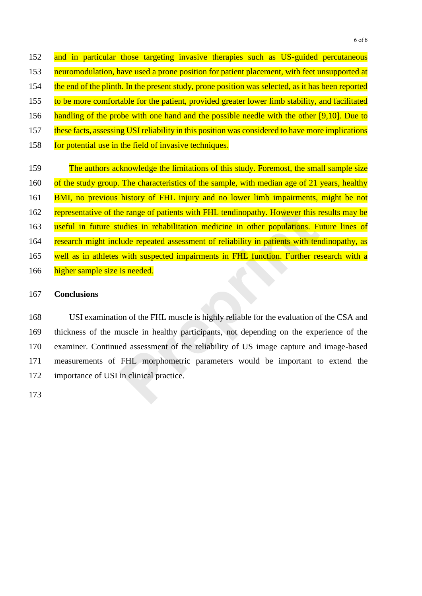152 and in particular those targeting invasive therapies such as US-guided percutaneous 153 neuromodulation, have used a prone position for patient placement, with feet unsupported at 154 the end of the plinth. In the present study, prone position was selected, as it has been reported 155 to be more comfortable for the patient, provided greater lower limb stability, and facilitated 156 handling of the probe with one hand and the possible needle with the other [9,10]. Due to 157 these facts, assessing USI reliability in this position was considered to have more implications 158 for potential use in the field of invasive techniques. 159 The authors acknowledge the limitations of this study. Foremost, the small sample size 160 of the study group. The characteristics of the sample, with median age of 21 years, healthy 161 BMI, no previous history of FHL injury and no lower limb impairments, might be not 162 representative of the range of patients with FHL tendinopathy. However this results may be 163 useful in future studies in rehabilitation medicine in other populations. Future lines of 164 research might include repeated assessment of reliability in patients with tendinopathy, as 165 well as in athletes with suspected impairments in FHL function. Further research with a

166 higher sample size is needed.

## 167 **Conclusions**

 USI examination of the FHL muscle is highly reliable for the evaluation of the CSA and thickness of the muscle in healthy participants, not depending on the experience of the examiner. Continued assessment of the reliability of US image capture and image-based measurements of FHL morphometric parameters would be important to extend the importance of USI in clinical practice. The Terresentative of the range of patients with FHL tendinopathy. However this negative in the transition in rehabilitation medicine in other populations. For research might include repeated assessment of reliability in p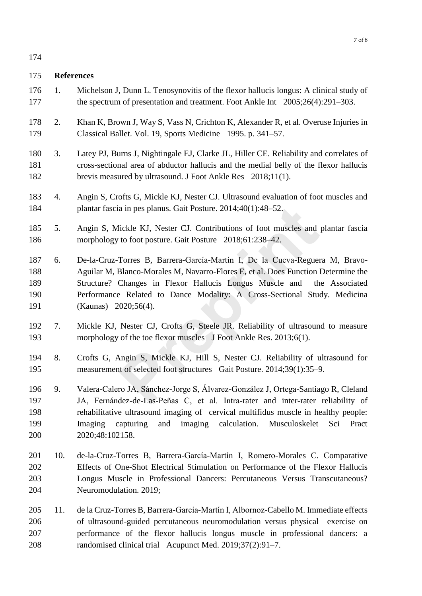# **References**

- 1. Michelson J, Dunn L. Tenosynovitis of the flexor hallucis longus: A clinical study of the spectrum of presentation and treatment. Foot Ankle Int 2005;26(4):291–303.
- 2. Khan K, Brown J, Way S, Vass N, Crichton K, Alexander R, et al. Overuse Injuries in Classical Ballet. Vol. 19, Sports Medicine 1995. p. 341–57.
- 3. Latey PJ, Burns J, Nightingale EJ, Clarke JL, Hiller CE. Reliability and correlates of cross-sectional area of abductor hallucis and the medial belly of the flexor hallucis brevis measured by ultrasound. J Foot Ankle Res 2018;11(1).
- 4. Angin S, Crofts G, Mickle KJ, Nester CJ. Ultrasound evaluation of foot muscles and plantar fascia in pes planus. Gait Posture. 2014;40(1):48–52.
- 5. Angin S, Mickle KJ, Nester CJ. Contributions of foot muscles and plantar fascia morphology to foot posture. Gait Posture 2018;61:238–42.
- 6. De-la-Cruz-Torres B, Barrera-García-Martín I, De la Cueva-Reguera M, Bravo- Aguilar M, Blanco-Morales M, Navarro-Flores E, et al. Does Function Determine the Structure? Changes in Flexor Hallucis Longus Muscle and the Associated Performance Related to Dance Modality: A Cross-Sectional Study. Medicina (Kaunas) 2020;56(4). a in pes planus. Gait Posture. 2014;40(1):48–52.<br>
lickle KJ, Nester CJ. Contributions of foot muscles and<br>
to foot posture. Gait Posture 2018;61:238–42.<br>
Torres B, Barrera-García-Martín I, De la Cueva-Reguer<br>
Blanco-Morale
- 7. Mickle KJ, Nester CJ, Crofts G, Steele JR. Reliability of ultrasound to measure morphology of the toe flexor muscles J Foot Ankle Res. 2013;6(1).
- 8. Crofts G, Angin S, Mickle KJ, Hill S, Nester CJ. Reliability of ultrasound for measurement of selected foot structures Gait Posture. 2014;39(1):35–9.
- 9. Valera-Calero JA, Sánchez-Jorge S, Álvarez-González J, Ortega-Santiago R, Cleland JA, Fernández-de-Las-Peñas C, et al. Intra-rater and inter-rater reliability of rehabilitative ultrasound imaging of cervical multifidus muscle in healthy people: Imaging capturing and imaging calculation. Musculoskelet Sci Pract 2020;48:102158.
- 10. de-la-Cruz-Torres B, Barrera-García-Martín I, Romero-Morales C. Comparative Effects of One-Shot Electrical Stimulation on Performance of the Flexor Hallucis Longus Muscle in Professional Dancers: Percutaneous Versus Transcutaneous? Neuromodulation. 2019;
- 11. de la Cruz-Torres B, Barrera-García-Martín I, Albornoz-Cabello M. Immediate effects of ultrasound-guided percutaneous neuromodulation versus physical exercise on performance of the flexor hallucis longus muscle in professional dancers: a randomised clinical trial Acupunct Med. 2019;37(2):91–7.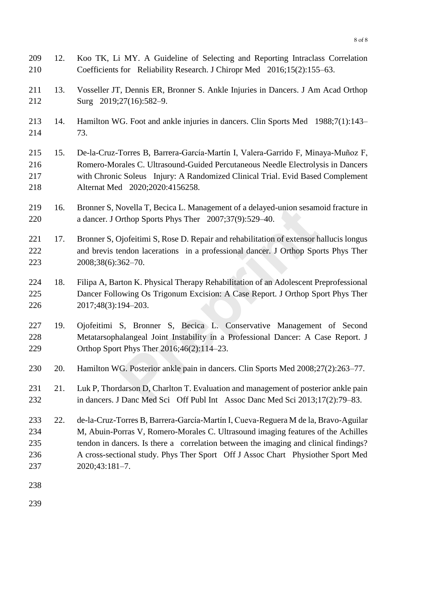| 209<br>210                             | 12. | Koo TK, Li MY. A Guideline of Selecting and Reporting Intraclass Correlation<br>Coefficients for Reliability Research. J Chiropr Med 2016;15(2):155–63.                                                                                                                                                                                                             |
|----------------------------------------|-----|---------------------------------------------------------------------------------------------------------------------------------------------------------------------------------------------------------------------------------------------------------------------------------------------------------------------------------------------------------------------|
| 211<br>212                             | 13. | Vosseller JT, Dennis ER, Bronner S. Ankle Injuries in Dancers. J Am Acad Orthop<br>Surg 2019;27(16):582-9.                                                                                                                                                                                                                                                          |
| 213<br>214                             | 14. | Hamilton WG. Foot and ankle injuries in dancers. Clin Sports Med 1988;7(1):143–<br>73.                                                                                                                                                                                                                                                                              |
| 215<br>216<br>217<br>218               | 15. | De-la-Cruz-Torres B, Barrera-García-Martín I, Valera-Garrido F, Minaya-Muñoz F,<br>Romero-Morales C. Ultrasound-Guided Percutaneous Needle Electrolysis in Dancers<br>with Chronic Soleus Injury: A Randomized Clinical Trial. Evid Based Complement<br>Alternat Med 2020;2020:4156258.                                                                             |
| 219<br>220                             | 16. | Bronner S, Novella T, Becica L. Management of a delayed-union sesamoid fracture in<br>a dancer. J Orthop Sports Phys Ther 2007;37(9):529-40.                                                                                                                                                                                                                        |
| 221<br>222<br>223                      | 17. | Bronner S, Ojofeitimi S, Rose D. Repair and rehabilitation of extensor hallucis longus<br>and brevis tendon lacerations in a professional dancer. J Orthop Sports Phys Ther<br>2008;38(6):362-70.                                                                                                                                                                   |
| 224<br>225<br>226                      | 18. | Filipa A, Barton K. Physical Therapy Rehabilitation of an Adolescent Preprofessional<br>Dancer Following Os Trigonum Excision: A Case Report. J Orthop Sport Phys Ther<br>2017;48(3):194-203.                                                                                                                                                                       |
| 227<br>228<br>229                      | 19. | Ojofeitimi S, Bronner S, Becica L. Conservative Management of Second<br>Metatarsophalangeal Joint Instability in a Professional Dancer: A Case Report. J<br>Orthop Sport Phys Ther 2016;46(2):114–23.                                                                                                                                                               |
| 230                                    | 20. | Hamilton WG. Posterior ankle pain in dancers. Clin Sports Med 2008;27(2):263–77.                                                                                                                                                                                                                                                                                    |
| 231<br>232                             | 21. | Luk P, Thordarson D, Charlton T. Evaluation and management of posterior ankle pain<br>in dancers. J Danc Med Sci Off Publ Int Assoc Danc Med Sci 2013;17(2):79–83.                                                                                                                                                                                                  |
| 233<br>234<br>235<br>236<br>237<br>238 | 22. | de-la-Cruz-Torres B, Barrera-García-Martín I, Cueva-Reguera M de la, Bravo-Aguilar<br>M, Abuin-Porras V, Romero-Morales C. Ultrasound imaging features of the Achilles<br>tendon in dancers. Is there a correlation between the imaging and clinical findings?<br>A cross-sectional study. Phys Ther Sport Off J Assoc Chart Physiother Sport Med<br>2020;43:181-7. |
|                                        |     |                                                                                                                                                                                                                                                                                                                                                                     |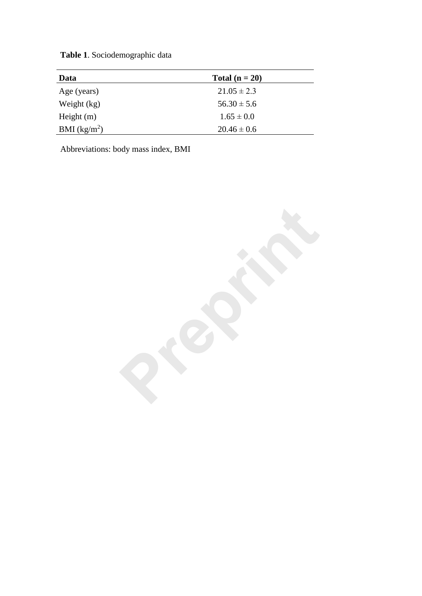**Table 1**. Sociodemographic data

| Data           | Total $(n = 20)$ |
|----------------|------------------|
| Age (years)    | $21.05 \pm 2.3$  |
| Weight (kg)    | $56.30 \pm 5.6$  |
| Height $(m)$   | $1.65 \pm 0.0$   |
| BMI $(kg/m^2)$ | $20.46 \pm 0.6$  |

Abbreviations: body mass index, BMI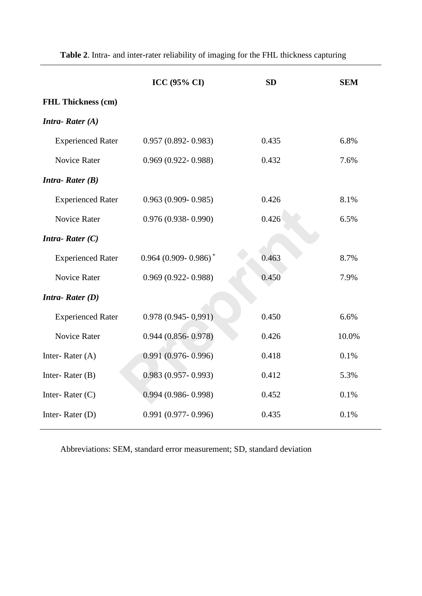|                           | <b>ICC (95% CI)</b>      | <b>SD</b> | <b>SEM</b> |
|---------------------------|--------------------------|-----------|------------|
| <b>FHL Thickness (cm)</b> |                          |           |            |
| <b>Intra-Rater</b> $(A)$  |                          |           |            |
| <b>Experienced Rater</b>  | $0.957(0.892 - 0.983)$   | 0.435     | 6.8%       |
| <b>Novice Rater</b>       | $0.969(0.922 - 0.988)$   | 0.432     | 7.6%       |
| <b>Intra-Rater</b> $(B)$  |                          |           |            |
| <b>Experienced Rater</b>  | $0.963(0.909 - 0.985)$   | 0.426     | 8.1%       |
| <b>Novice Rater</b>       | $0.976(0.938 - 0.990)$   | 0.426     | 6.5%       |
| <b>Intra-Rater</b> $(C)$  |                          |           |            |
| <b>Experienced Rater</b>  | $0.964(0.909 - 0.986)^*$ | 0.463     | 8.7%       |
| <b>Novice Rater</b>       | $0.969(0.922 - 0.988)$   | 0.450     | 7.9%       |
| <b>Intra-Rater</b> $(D)$  |                          |           |            |
| <b>Experienced Rater</b>  | $0.978(0.945 - 0.991)$   | 0.450     | 6.6%       |
| <b>Novice Rater</b>       | $0.944(0.856 - 0.978)$   | 0.426     | 10.0%      |
| Inter-Rater (A)           | $0.991(0.976 - 0.996)$   | 0.418     | 0.1%       |
| Inter-Rater $(B)$         | $0.983(0.957 - 0.993)$   | 0.412     | 5.3%       |
| Inter-Rater $(C)$         | $0.994(0.986 - 0.998)$   | 0.452     | 0.1%       |
| Inter-Rater (D)           | $0.991(0.977 - 0.996)$   | 0.435     | 0.1%       |

**Table 2**. Intra- and inter-rater reliability of imaging for the FHL thickness capturing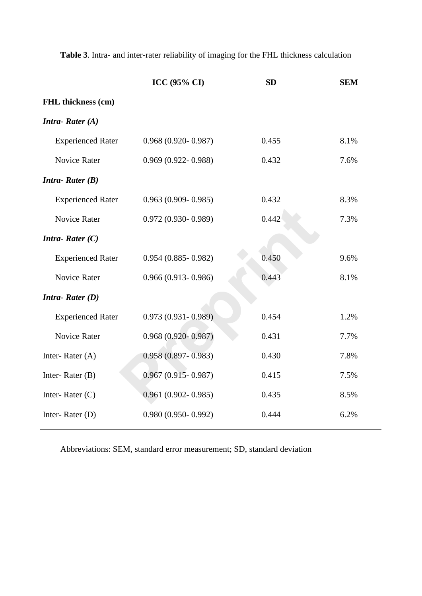|                          | <b>ICC (95% CI)</b>    | <b>SD</b> | <b>SEM</b> |
|--------------------------|------------------------|-----------|------------|
| FHL thickness (cm)       |                        |           |            |
| <b>Intra-Rater</b> $(A)$ |                        |           |            |
| <b>Experienced Rater</b> | $0.968(0.920 - 0.987)$ | 0.455     | 8.1%       |
| <b>Novice Rater</b>      | $0.969(0.922 - 0.988)$ | 0.432     | 7.6%       |
| <b>Intra-Rater</b> $(B)$ |                        |           |            |
| <b>Experienced Rater</b> | $0.963(0.909 - 0.985)$ | 0.432     | 8.3%       |
| <b>Novice Rater</b>      | $0.972(0.930 - 0.989)$ | 0.442     | 7.3%       |
| <b>Intra-Rater</b> $(C)$ |                        |           |            |
| <b>Experienced Rater</b> | $0.954(0.885 - 0.982)$ | 0.450     | 9.6%       |
| <b>Novice Rater</b>      | $0.966(0.913 - 0.986)$ | 0.443     | 8.1%       |
| <b>Intra-Rater</b> $(D)$ |                        |           |            |
| <b>Experienced Rater</b> | $0.973(0.931 - 0.989)$ | 0.454     | 1.2%       |
| <b>Novice Rater</b>      | $0.968(0.920 - 0.987)$ | 0.431     | 7.7%       |
| Inter-Rater $(A)$        | $0.958(0.897 - 0.983)$ | 0.430     | 7.8%       |
| Inter-Rater $(B)$        | $0.967(0.915 - 0.987)$ | 0.415     | 7.5%       |
| Inter-Rater $(C)$        | $0.961(0.902 - 0.985)$ | 0.435     | 8.5%       |
| Inter-Rater (D)          | $0.980(0.950 - 0.992)$ | 0.444     | 6.2%       |

**Table 3**. Intra- and inter-rater reliability of imaging for the FHL thickness calculation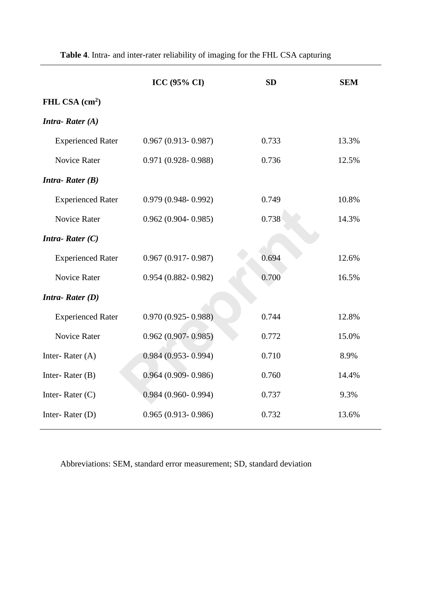|                          | <b>ICC (95% CI)</b>    | <b>SD</b> | <b>SEM</b> |
|--------------------------|------------------------|-----------|------------|
| FHL CSA $(cm2)$          |                        |           |            |
| <b>Intra-Rater</b> $(A)$ |                        |           |            |
| <b>Experienced Rater</b> | $0.967(0.913 - 0.987)$ | 0.733     | 13.3%      |
| <b>Novice Rater</b>      | $0.971(0.928 - 0.988)$ | 0.736     | 12.5%      |
| <b>Intra-Rater</b> $(B)$ |                        |           |            |
| <b>Experienced Rater</b> | $0.979(0.948-0.992)$   | 0.749     | 10.8%      |
| <b>Novice Rater</b>      | $0.962(0.904 - 0.985)$ | 0.738     | 14.3%      |
| <b>Intra-Rater</b> $(C)$ |                        |           |            |
| <b>Experienced Rater</b> | $0.967(0.917-0.987)$   | 0.694     | 12.6%      |
| <b>Novice Rater</b>      | $0.954(0.882 - 0.982)$ | 0.700     | 16.5%      |
| <b>Intra-Rater</b> $(D)$ |                        |           |            |
| <b>Experienced Rater</b> | $0.970(0.925 - 0.988)$ | 0.744     | 12.8%      |
| <b>Novice Rater</b>      | $0.962(0.907 - 0.985)$ | 0.772     | 15.0%      |
| Inter-Rater (A)          | $0.984(0.953 - 0.994)$ | 0.710     | 8.9%       |
| Inter-Rater $(B)$        | $0.964(0.909 - 0.986)$ | 0.760     | 14.4%      |
| Inter-Rater $(C)$        | $0.984(0.960 - 0.994)$ | 0.737     | 9.3%       |
| Inter-Rater (D)          | $0.965(0.913-0.986)$   | 0.732     | 13.6%      |

**Table 4**. Intra- and inter-rater reliability of imaging for the FHL CSA capturing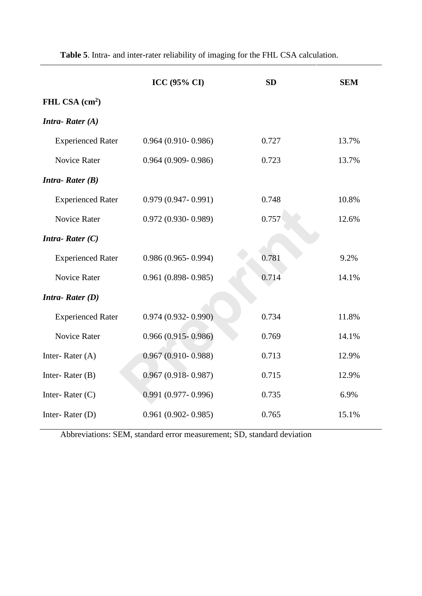|                          | <b>ICC (95% CI)</b>    | <b>SD</b> | <b>SEM</b> |
|--------------------------|------------------------|-----------|------------|
| FHL CSA $(cm2)$          |                        |           |            |
| <b>Intra-Rater</b> $(A)$ |                        |           |            |
| <b>Experienced Rater</b> | $0.964(0.910-0.986)$   | 0.727     | 13.7%      |
| <b>Novice Rater</b>      | $0.964(0.909 - 0.986)$ | 0.723     | 13.7%      |
| <b>Intra-Rater</b> $(B)$ |                        |           |            |
| <b>Experienced Rater</b> | $0.979(0.947 - 0.991)$ | 0.748     | 10.8%      |
| <b>Novice Rater</b>      | $0.972(0.930 - 0.989)$ | 0.757     | 12.6%      |
| <b>Intra-Rater</b> $(C)$ |                        |           |            |
| <b>Experienced Rater</b> | $0.986(0.965 - 0.994)$ | 0.781     | 9.2%       |
| <b>Novice Rater</b>      | $0.961(0.898 - 0.985)$ | 0.714     | 14.1%      |
| <b>Intra-Rater</b> $(D)$ |                        |           |            |
| <b>Experienced Rater</b> | $0.974(0.932 - 0.990)$ | 0.734     | 11.8%      |
| <b>Novice Rater</b>      | $0.966(0.915 - 0.986)$ | 0.769     | 14.1%      |
| Inter-Rater $(A)$        | $0.967(0.910 - 0.988)$ | 0.713     | 12.9%      |
| Inter-Rater $(B)$        | $0.967(0.918-0.987)$   | 0.715     | 12.9%      |
| Inter-Rater $(C)$        | $0.991(0.977 - 0.996)$ | 0.735     | 6.9%       |
| Inter-Rater $(D)$        | $0.961(0.902 - 0.985)$ | 0.765     | 15.1%      |

**Table 5**. Intra- and inter-rater reliability of imaging for the FHL CSA calculation.